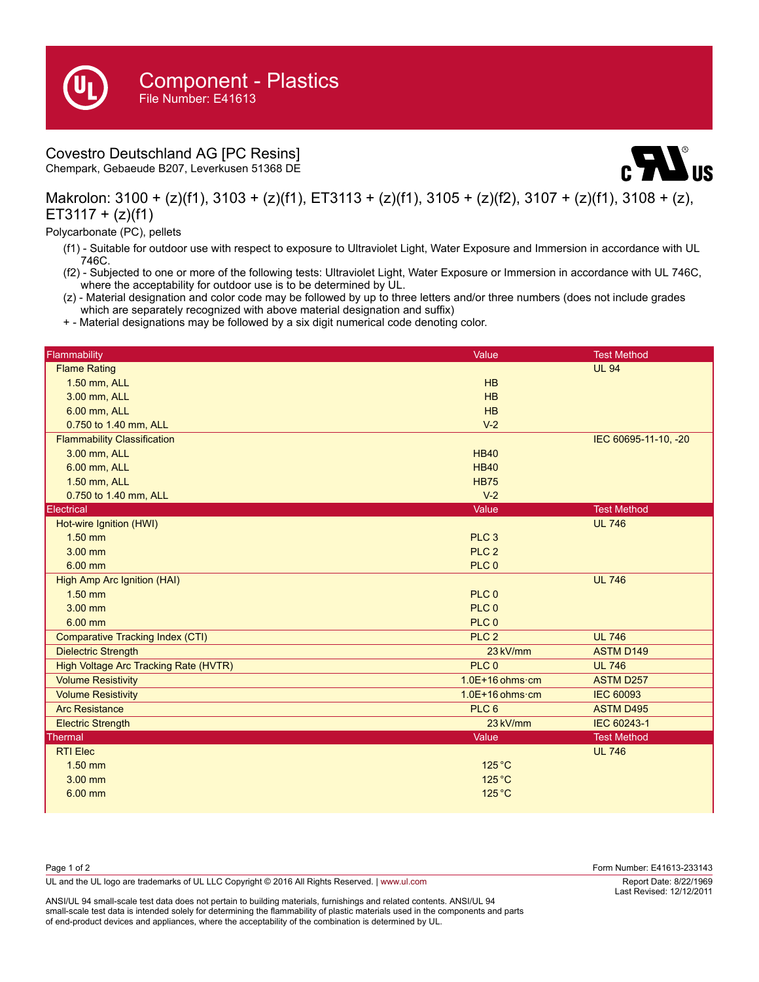## Covestro Deutschland AG [PC Resins]

Chempark, Gebaeude B207, Leverkusen 51368 DE



Makrolon: 3100 + (z)(f1), 3103 + (z)(f1), ET3113 + (z)(f1), 3105 + (z)(f2), 3107 + (z)(f1), 3108 + (z),  $ET3117 + (z)(f1)$ 

Polycarbonate (PC), pellets

- (f1) Suitable for outdoor use with respect to exposure to Ultraviolet Light, Water Exposure and Immersion in accordance with UL 746C.
- (f2) Subjected to one or more of the following tests: Ultraviolet Light, Water Exposure or Immersion in accordance with UL 746C, where the acceptability for outdoor use is to be determined by UL.
- (z) Material designation and color code may be followed by up to three letters and/or three numbers (does not include grades which are separately recognized with above material designation and suffix)
- + Material designations may be followed by a six digit numerical code denoting color.

| Flammability                            | Value                     | <b>Test Method</b>   |
|-----------------------------------------|---------------------------|----------------------|
| <b>Flame Rating</b>                     |                           | <b>UL 94</b>         |
| 1.50 mm, ALL                            | HB                        |                      |
| 3.00 mm, ALL                            | HB                        |                      |
| 6.00 mm, ALL                            | HB                        |                      |
| 0.750 to 1.40 mm, ALL                   | $V-2$                     |                      |
| <b>Flammability Classification</b>      |                           | IEC 60695-11-10, -20 |
| 3.00 mm, ALL                            | <b>HB40</b>               |                      |
| 6.00 mm, ALL                            | <b>HB40</b>               |                      |
| 1.50 mm, ALL                            | <b>HB75</b>               |                      |
| 0.750 to 1.40 mm, ALL                   | $V-2$                     |                      |
| Electrical                              | Value                     | <b>Test Method</b>   |
| Hot-wire Ignition (HWI)                 |                           | <b>UL 746</b>        |
| $1.50$ mm                               | PLC <sub>3</sub>          |                      |
| 3.00 mm                                 | PLC <sub>2</sub>          |                      |
| 6.00 mm                                 | PLC <sub>0</sub>          |                      |
| <b>High Amp Arc Ignition (HAI)</b>      |                           | <b>UL 746</b>        |
| $1.50$ mm                               | PLC 0                     |                      |
| 3.00 mm                                 | PLC <sub>0</sub>          |                      |
| 6.00 mm                                 | PLC <sub>0</sub>          |                      |
| <b>Comparative Tracking Index (CTI)</b> | PLC <sub>2</sub>          | <b>UL 746</b>        |
| <b>Dielectric Strength</b>              | 23 kV/mm                  | <b>ASTM D149</b>     |
| High Voltage Arc Tracking Rate (HVTR)   | PLC 0                     | <b>UL 746</b>        |
| <b>Volume Resistivity</b>               | $1.0E+16$ ohms $\cdot$ cm | <b>ASTM D257</b>     |
| <b>Volume Resistivity</b>               | $1.0E+16$ ohms $\cdot$ cm | <b>IEC 60093</b>     |
| <b>Arc Resistance</b>                   | PLC <sub>6</sub>          | <b>ASTM D495</b>     |
| <b>Electric Strength</b>                | 23 kV/mm                  | IEC 60243-1          |
| Thermal                                 | Value                     | <b>Test Method</b>   |
| <b>RTI Elec</b>                         |                           | <b>UL 746</b>        |
| $1.50$ mm                               | $125^{\circ}$ C           |                      |
| $3.00$ mm                               | 125 °C                    |                      |
| 6.00 mm                                 | $125^{\circ}$ C           |                      |
|                                         |                           |                      |

| Report Date: 8/22/1969<br>Last Revised: 12/12/2011 |
|----------------------------------------------------|
|                                                    |

ANSI/UL 94 small-scale test data does not pertain to building materials, furnishings and related contents. ANSI/UL 94 small-scale test data is intended solely for determining the flammability of plastic materials used in the components and parts of end-product devices and appliances, where the acceptability of the combination is determined by UL.